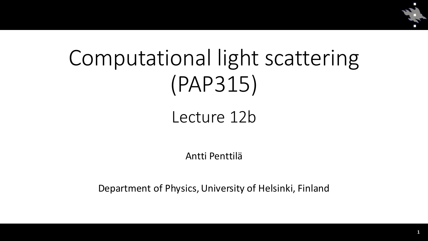

# Computational light scattering (PAP315)

## Lecture 12b

#### Antti Penttilä

Department of Physics, University of Helsinki, Finland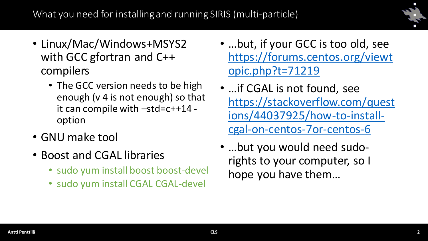

- Linux/Mac/Windows+MSYS2 with GCC gfortran and C++ compilers
	- The GCC version needs to be high enough (v 4 is not enough) so that it can compile with –std=c++14 option
- GNU make tool
- Boost and CGAL libraries
	- sudo yum install boost boost-devel
	- sudo yum install CGAL CGAL-devel
- …but, if your GCC is too old, see [https://forums.centos.org/viewt](https://forums.centos.org/viewtopic.php?t=71219) opic.php?t=71219
- …if CGAL is not found, see [https://stackoverflow.com/quest](https://stackoverflow.com/questions/44037925/how-to-install-cgal-on-centos-7or-centos-6) ions/44037925/how-to-installcgal-on-centos-7or-centos-6
- …but you would need sudorights to your computer, so I hope you have them…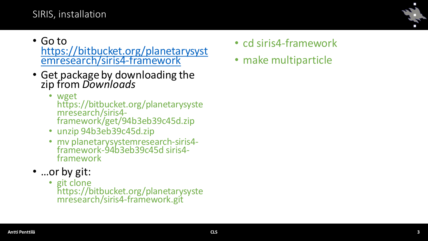### SIRIS, installation

- Go to [https://bitbucket.org/planetarysyst](https://bitbucket.org/planetarysystemresearch/siris4-framework) emresearch/siris4-framework
- Get package by downloading the zip from *Downloads*
	- wget https://bitbucket.org/planetarysyste mresearch/siris4 framework/get/94b3eb39c45d.zip
	- unzip 94b3eb39c45d.zip
	- mv planetarysystemresearch-siris4 framework-94b3eb39c45d siris4 framework
- …or by git:
	- git clone https://bitbucket.org/planetarysyste mresearch/siris4-framework.git
- cd siris4-framework
- make multiparticle